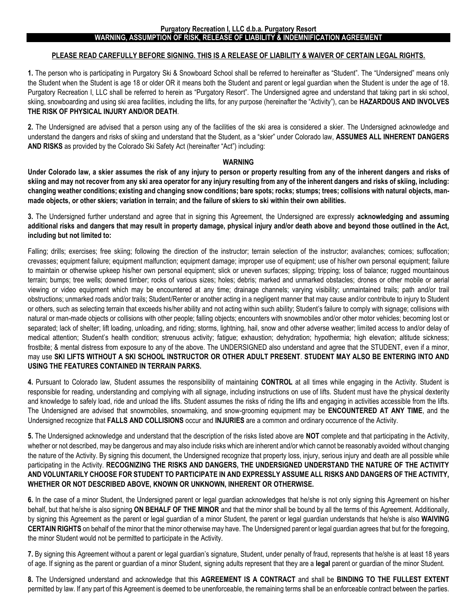## **WARNING, ASSUMPTION OF RISK, RELEASE OF LIABILITY & INDEMNIFICATION AGREEMENT**

## **PLEASE READ CAREFULLY BEFORE SIGNING. THIS IS A RELEASE OF LIABILITY & WAIVER OF CERTAIN LEGAL RIGHTS.**

**1.** The person who is participating in Purgatory Ski & Snowboard School shall be referred to hereinafter as "Student". The "Undersigned" means only the Student when the Student is age 18 or older OR it means both the Student and parent or legal guardian when the Student is under the age of 18. Purgatory Recreation I, LLC shall be referred to herein as "Purgatory Resort". The Undersigned agree and understand that taking part in ski school, skiing, snowboarding and using ski area facilities, including the lifts, for any purpose (hereinafter the "Activity"), can be **HAZARDOUS AND INVOLVES THE RISK OF PHYSICAL INJURY AND/OR DEATH**.

**2.** The Undersigned are advised that a person using any of the facilities of the ski area is considered a skier. The Undersigned acknowledge and understand the dangers and risks of skiing and understand that the Student, as a "skier" under Colorado law, **ASSUMES ALL INHERENT DANGERS AND RISKS** as provided by the Colorado Ski Safety Act (hereinafter "Act") including:

## **WARNING**

**Under Colorado law, a skier assumes the risk of any injury to person or property resulting from any of the inherent dangers and risks of skiing and may not recover from any ski area operator for any injury resulting from any of the inherent dangers and risks of skiing, including: changing weather conditions; existing and changing snow conditions; bare spots; rocks; stumps; trees; collisions with natural objects, manmade objects, or other skiers; variation in terrain; and the failure of skiers to ski within their own abilities.**

**3.** The Undersigned further understand and agree that in signing this Agreement, the Undersigned are expressly **acknowledging and assuming additional risks and dangers that may result in property damage, physical injury and/or death above and beyond those outlined in the Act, including but not limited to:** 

Falling; drills; exercises; free skiing; following the direction of the instructor; terrain selection of the instructor; avalanches; cornices; suffocation; crevasses; equipment failure; equipment malfunction; equipment damage; improper use of equipment; use of his/her own personal equipment; failure to maintain or otherwise upkeep his/her own personal equipment; slick or uneven surfaces; slipping; tripping; loss of balance; rugged mountainous terrain; bumps; tree wells; downed timber; rocks of various sizes; holes; debris; marked and unmarked obstacles; drones or other mobile or aerial viewing or video equipment which may be encountered at any time; drainage channels; varying visibility; unmaintained trails; path and/or trail obstructions; unmarked roads and/or trails; Student/Renter or another acting in a negligent manner that may cause and/or contribute to injury to Student or others, such as selecting terrain that exceeds his/her ability and not acting within such ability; Student's failure to comply with signage; collisions with natural or man-made objects or collisions with other people; falling objects; encounters with snowmobiles and/or other motor vehicles; becoming lost or separated; lack of shelter; lift loading, unloading, and riding; storms, lightning, hail, snow and other adverse weather; limited access to and/or delay of medical attention; Student's health condition; strenuous activity; fatigue; exhaustion; dehydration; hypothermia; high elevation; altitude sickness; frostbite; & mental distress from exposure to any of the above. The UNDERSIGNED also understand and agree that the STUDENT, even if a minor, may use **SKI LIFTS WITHOUT A SKI SCHOOL INSTRUCTOR OR OTHER ADULT PRESENT**. **STUDENT MAY ALSO BE ENTERING INTO AND USING THE FEATURES CONTAINED IN TERRAIN PARKS.** 

**4.** Pursuant to Colorado law, Student assumes the responsibility of maintaining **CONTROL** at all times while engaging in the Activity. Student is responsible for reading, understanding and complying with all signage, including instructions on use of lifts. Student must have the physical dexterity and knowledge to safely load, ride and unload the lifts. Student assumes the risks of riding the lifts and engaging in activities accessible from the lifts. The Undersigned are advised that snowmobiles, snowmaking, and snow-grooming equipment may be **ENCOUNTERED AT ANY TIME**, and the Undersigned recognize that **FALLS AND COLLISIONS** occur and **INJURIES** are a common and ordinary occurrence of the Activity.

**5.** The Undersigned acknowledge and understand that the description of the risks listed above are **NOT** complete and that participating in the Activity, whether or not described, may be dangerous and may also include risks which are inherent and/or which cannot be reasonably avoided without changing the nature of the Activity. By signing this document, the Undersigned recognize that property loss, injury, serious injury and death are all possible while participating in the Activity. **RECOGNIZING THE RISKS AND DANGERS, THE UNDERSIGNED UNDERSTAND THE NATURE OF THE ACTIVITY AND VOLUNTARILY CHOOSE FOR STUDENT TO PARTICIPATE IN AND EXPRESSLY ASSUME ALL RISKS AND DANGERS OF THE ACTIVITY, WHETHER OR NOT DESCRIBED ABOVE, KNOWN OR UNKNOWN, INHERENT OR OTHERWISE.** 

**6.** In the case of a minor Student, the Undersigned parent or legal guardian acknowledges that he/she is not only signing this Agreement on his/her behalf, but that he/she is also signing **ON BEHALF OF THE MINOR** and that the minor shall be bound by all the terms of this Agreement. Additionally, by signing this Agreement as the parent or legal guardian of a minor Student, the parent or legal guardian understands that he/she is also **WAIVING CERTAIN RIGHTS** on behalf of the minor that the minor otherwise may have. The Undersigned parent or legal guardian agrees that but for the foregoing, the minor Student would not be permitted to participate in the Activity.

**7.** By signing this Agreement without a parent or legal guardian's signature, Student, under penalty of fraud, represents that he/she is at least 18 years of age. If signing as the parent or guardian of a minor Student, signing adults represent that they are a **legal** parent or guardian of the minor Student.

**8.** The Undersigned understand and acknowledge that this **AGREEMENT IS A CONTRACT** and shall be **BINDING TO THE FULLEST EXTENT**  permitted by law. If any part of this Agreement is deemed to be unenforceable, the remaining terms shall be an enforceable contract between the parties.